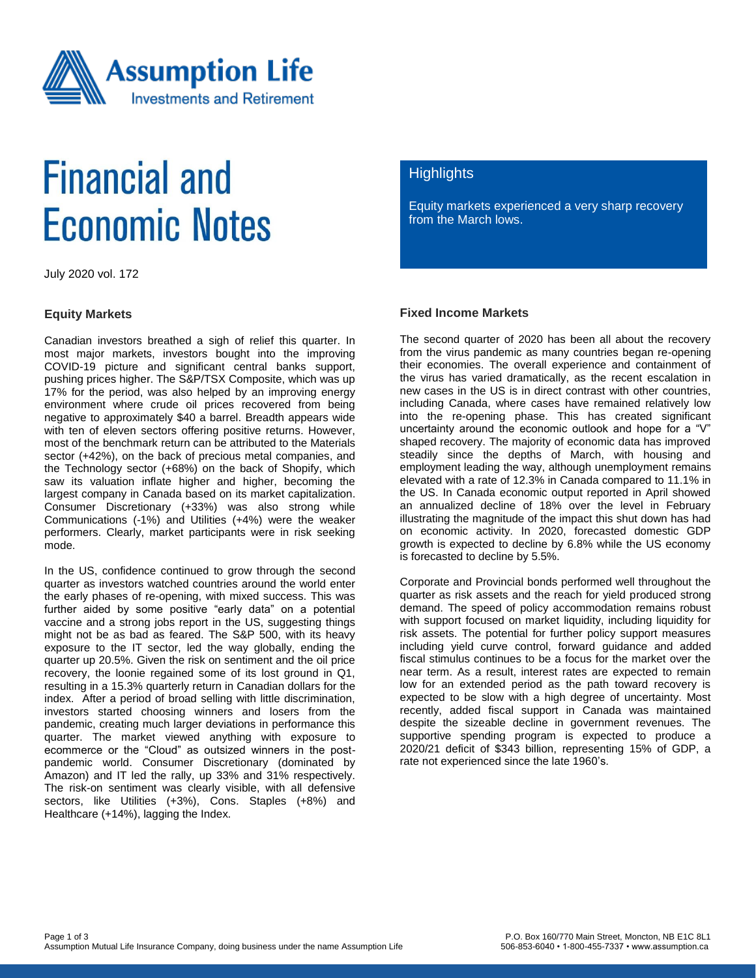

# **Financial and Economic Notes**

July 2020 vol. 172

#### **Equity Markets**

Canadian investors breathed a sigh of relief this quarter. In most major markets, investors bought into the improving COVID-19 picture and significant central banks support, pushing prices higher. The S&P/TSX Composite, which was up 17% for the period, was also helped by an improving energy environment where crude oil prices recovered from being negative to approximately \$40 a barrel. Breadth appears wide with ten of eleven sectors offering positive returns. However, most of the benchmark return can be attributed to the Materials sector (+42%), on the back of precious metal companies, and the Technology sector (+68%) on the back of Shopify, which saw its valuation inflate higher and higher, becoming the largest company in Canada based on its market capitalization. Consumer Discretionary (+33%) was also strong while Communications (-1%) and Utilities (+4%) were the weaker performers. Clearly, market participants were in risk seeking mode.

In the US, confidence continued to grow through the second quarter as investors watched countries around the world enter the early phases of re-opening, with mixed success. This was further aided by some positive "early data" on a potential vaccine and a strong jobs report in the US, suggesting things might not be as bad as feared. The S&P 500, with its heavy exposure to the IT sector, led the way globally, ending the quarter up 20.5%. Given the risk on sentiment and the oil price recovery, the loonie regained some of its lost ground in Q1, resulting in a 15.3% quarterly return in Canadian dollars for the index. After a period of broad selling with little discrimination, investors started choosing winners and losers from the pandemic, creating much larger deviations in performance this quarter. The market viewed anything with exposure to ecommerce or the "Cloud" as outsized winners in the postpandemic world. Consumer Discretionary (dominated by Amazon) and IT led the rally, up 33% and 31% respectively. The risk-on sentiment was clearly visible, with all defensive sectors, like Utilities (+3%), Cons. Staples (+8%) and Healthcare (+14%), lagging the Index.

### **Highlights**

Equity markets experienced a very sharp recovery from the March lows.

#### **Fixed Income Markets**

The second quarter of 2020 has been all about the recovery from the virus pandemic as many countries began re-opening their economies. The overall experience and containment of the virus has varied dramatically, as the recent escalation in new cases in the US is in direct contrast with other countries, including Canada, where cases have remained relatively low into the re-opening phase. This has created significant uncertainty around the economic outlook and hope for a "V" shaped recovery. The majority of economic data has improved steadily since the depths of March, with housing and employment leading the way, although unemployment remains elevated with a rate of 12.3% in Canada compared to 11.1% in the US. In Canada economic output reported in April showed an annualized decline of 18% over the level in February illustrating the magnitude of the impact this shut down has had on economic activity. In 2020, forecasted domestic GDP growth is expected to decline by 6.8% while the US economy is forecasted to decline by 5.5%.

Corporate and Provincial bonds performed well throughout the quarter as risk assets and the reach for yield produced strong demand. The speed of policy accommodation remains robust with support focused on market liquidity, including liquidity for risk assets. The potential for further policy support measures including yield curve control, forward guidance and added fiscal stimulus continues to be a focus for the market over the near term. As a result, interest rates are expected to remain low for an extended period as the path toward recovery is expected to be slow with a high degree of uncertainty. Most recently, added fiscal support in Canada was maintained despite the sizeable decline in government revenues. The supportive spending program is expected to produce a 2020/21 deficit of \$343 billion, representing 15% of GDP, a rate not experienced since the late 1960's.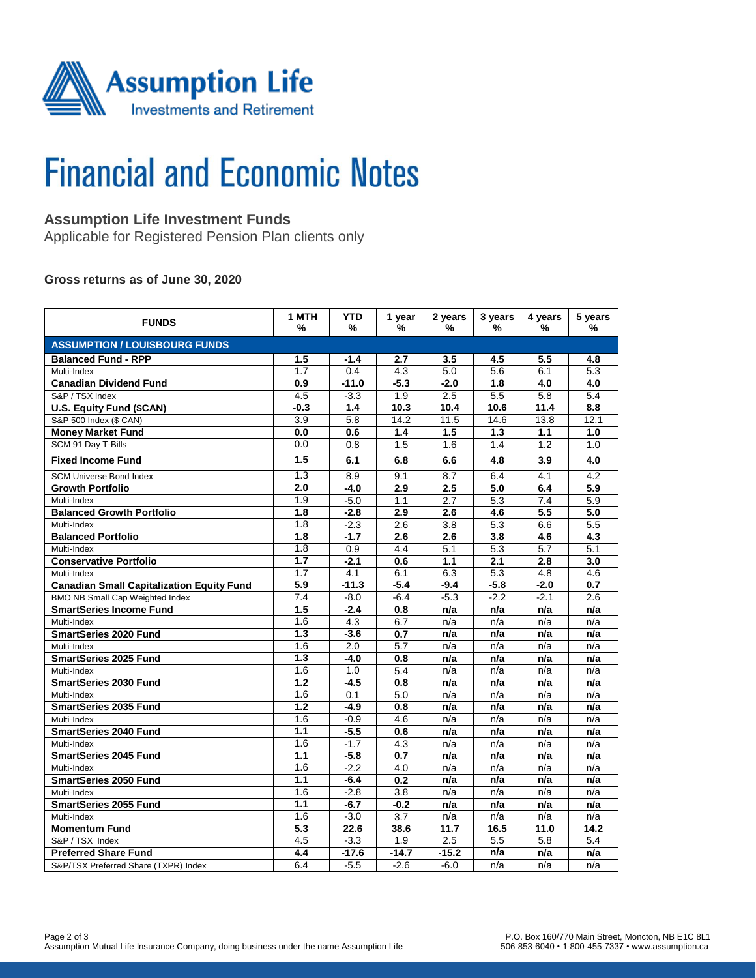

# **Financial and Economic Notes**

# **Assumption Life Investment Funds**

Applicable for Registered Pension Plan clients only

### **Gross returns as of June 30, 2020**

| <b>FUNDS</b>                                     | 1 MTH<br>%       | <b>YTD</b><br>%  | 1 year<br>% | 2 years<br>% | 3 years<br>% | 4 years<br>% | 5 years<br>% |  |  |  |  |
|--------------------------------------------------|------------------|------------------|-------------|--------------|--------------|--------------|--------------|--|--|--|--|
| <b>ASSUMPTION / LOUISBOURG FUNDS</b>             |                  |                  |             |              |              |              |              |  |  |  |  |
| <b>Balanced Fund - RPP</b>                       | 1.5              | $-1.4$           | 2.7         | 3.5          | 4.5          | 5.5          | 4.8          |  |  |  |  |
| Multi-Index                                      | 1.7              | 0.4              | 4.3         | 5.0          | 5.6          | 6.1          | 5.3          |  |  |  |  |
| <b>Canadian Dividend Fund</b>                    | 0.9              | $-11.0$          | $-5.3$      | $-2.0$       | 1.8          | 4.0          | 4.0          |  |  |  |  |
| S&P / TSX Index                                  | 4.5              | $-3.3$           | 1.9         | 2.5          | 5.5          | 5.8          | 5.4          |  |  |  |  |
| U.S. Equity Fund (\$CAN)                         | $-0.3$           | 1.4              | 10.3        | 10.4         | 10.6         | 11.4         | 8.8          |  |  |  |  |
| S&P 500 Index (\$ CAN)                           | 3.9              | 5.8              | 14.2        | 11.5         | 14.6         | 13.8         | 12.1         |  |  |  |  |
| <b>Money Market Fund</b>                         | 0.0              | 0.6              | 1.4         | 1.5          | 1.3          | 1.1          | 1.0          |  |  |  |  |
| SCM 91 Day T-Bills                               | 0.0              | 0.8              | 1.5         | 1.6          | 1.4          | 1.2          | 1.0          |  |  |  |  |
| <b>Fixed Income Fund</b>                         | 1.5              | 6.1              | 6.8         | 6.6          | 4.8          | 3.9          | 4.0          |  |  |  |  |
| <b>SCM Universe Bond Index</b>                   | 1.3              | 8.9              | 9.1         | 8.7          | 6.4          | 4.1          | 4.2          |  |  |  |  |
| <b>Growth Portfolio</b>                          | 2.0              | $-4.0$           | 2.9         | 2.5          | 5.0          | 6.4          | 5.9          |  |  |  |  |
| Multi-Index                                      | 1.9              | $-5.0$           | 1.1         | 2.7          | 5.3          | 7.4          | 5.9          |  |  |  |  |
| <b>Balanced Growth Portfolio</b>                 | 1.8              | $-2.8$           | 2.9         | 2.6          | 4.6          | 5.5          | 5.0          |  |  |  |  |
| Multi-Index                                      | 1.8              | $-2.3$           | 2.6         | 3.8          | 5.3          | 6.6          | 5.5          |  |  |  |  |
| <b>Balanced Portfolio</b>                        | 1.8              | $-1.7$           | 2.6         | 2.6          | 3.8          | 4.6          | 4.3          |  |  |  |  |
| Multi-Index                                      | 1.8              | 0.9              | 4.4         | 5.1          | 5.3          | 5.7          | 5.1          |  |  |  |  |
| <b>Conservative Portfolio</b>                    | 1.7              | $-2.1$           | 0.6         | 1.1          | 2.1          | 2.8          | 3.0          |  |  |  |  |
| Multi-Index                                      | 1.7              | 4.1              | 6.1         | 6.3          | 5.3          | 4.8          | 4.6          |  |  |  |  |
| <b>Canadian Small Capitalization Equity Fund</b> | 5.9              | $-11.3$          | $-5.4$      | $-9.4$       | $-5.8$       | $-2.0$       | 0.7          |  |  |  |  |
| BMO NB Small Cap Weighted Index                  | 7.4              | $-8.0$           | $-6.4$      | $-5.3$       | $-2.2$       | $-2.1$       | 2.6          |  |  |  |  |
| <b>SmartSeries Income Fund</b>                   | 1.5              | $-2.4$           | 0.8         | n/a          | n/a          | n/a          | n/a          |  |  |  |  |
| Multi-Index                                      | 1.6              | 4.3              | 6.7         | n/a          | n/a          | n/a          | n/a          |  |  |  |  |
| <b>SmartSeries 2020 Fund</b>                     | 1.3              | $-3.6$           | 0.7         | n/a          | n/a          | n/a          | n/a          |  |  |  |  |
| Multi-Index                                      | 1.6              | $\overline{2.0}$ | 5.7         | n/a          | n/a          | n/a          | n/a          |  |  |  |  |
| <b>SmartSeries 2025 Fund</b>                     | 1.3              | $-4.0$           | 0.8         | n/a          | n/a          | n/a          | n/a          |  |  |  |  |
| Multi-Index                                      | 1.6              | 1.0              | 5.4         | n/a          | n/a          | n/a          | n/a          |  |  |  |  |
| <b>SmartSeries 2030 Fund</b>                     | $\overline{1.2}$ | $-4.5$           | 0.8         | n/a          | n/a          | n/a          | n/a          |  |  |  |  |
| Multi-Index                                      | 1.6              | 0.1              | 5.0         | n/a          | n/a          | n/a          | n/a          |  |  |  |  |
| <b>SmartSeries 2035 Fund</b>                     | 1.2              | $-4.9$           | 0.8         | n/a          | n/a          | n/a          | n/a          |  |  |  |  |
| Multi-Index                                      | 1.6              | $-0.9$           | 4.6         | n/a          | n/a          | n/a          | n/a          |  |  |  |  |
| <b>SmartSeries 2040 Fund</b>                     | 1.1              | $-5.5$           | 0.6         | n/a          | n/a          | n/a          | n/a          |  |  |  |  |
| Multi-Index                                      | 1.6              | $-1.7$           | 4.3         | n/a          | n/a          | n/a          | n/a          |  |  |  |  |
| <b>SmartSeries 2045 Fund</b>                     | 1.1              | $-5.8$           | 0.7         | n/a          | n/a          | n/a          | n/a          |  |  |  |  |
| Multi-Index                                      | 1.6              | $-2.2$           | 4.0         | n/a          | n/a          | n/a          | n/a          |  |  |  |  |
| <b>SmartSeries 2050 Fund</b>                     | 1.1              | $-6.4$           | 0.2         | n/a          | n/a          | n/a          | n/a          |  |  |  |  |
| Multi-Index                                      | 1.6              | $-2.8$           | 3.8         | n/a          | n/a          | n/a          | n/a          |  |  |  |  |
| <b>SmartSeries 2055 Fund</b>                     | 1.1              | $-6.7$           | $-0.2$      | n/a          | n/a          | n/a          | n/a          |  |  |  |  |
| Multi-Index                                      | 1.6              | $-3.0$           | 3.7         | n/a          | n/a          | n/a          | n/a          |  |  |  |  |
| <b>Momentum Fund</b>                             | $\overline{5.3}$ | 22.6             | 38.6        | 11.7         | 16.5         | 11.0         | 14.2         |  |  |  |  |
| S&P / TSX Index                                  | 4.5              | $-3.3$           | 1.9         | 2.5          | 5.5          | 5.8          | 5.4          |  |  |  |  |
| <b>Preferred Share Fund</b>                      | 4.4              | $-17.6$          | $-14.7$     | $-15.2$      | n/a          | n/a          | n/a          |  |  |  |  |
| S&P/TSX Preferred Share (TXPR) Index             | 6.4              | $-5.5$           | $-2.6$      | $-6.0$       | n/a          | n/a          | n/a          |  |  |  |  |